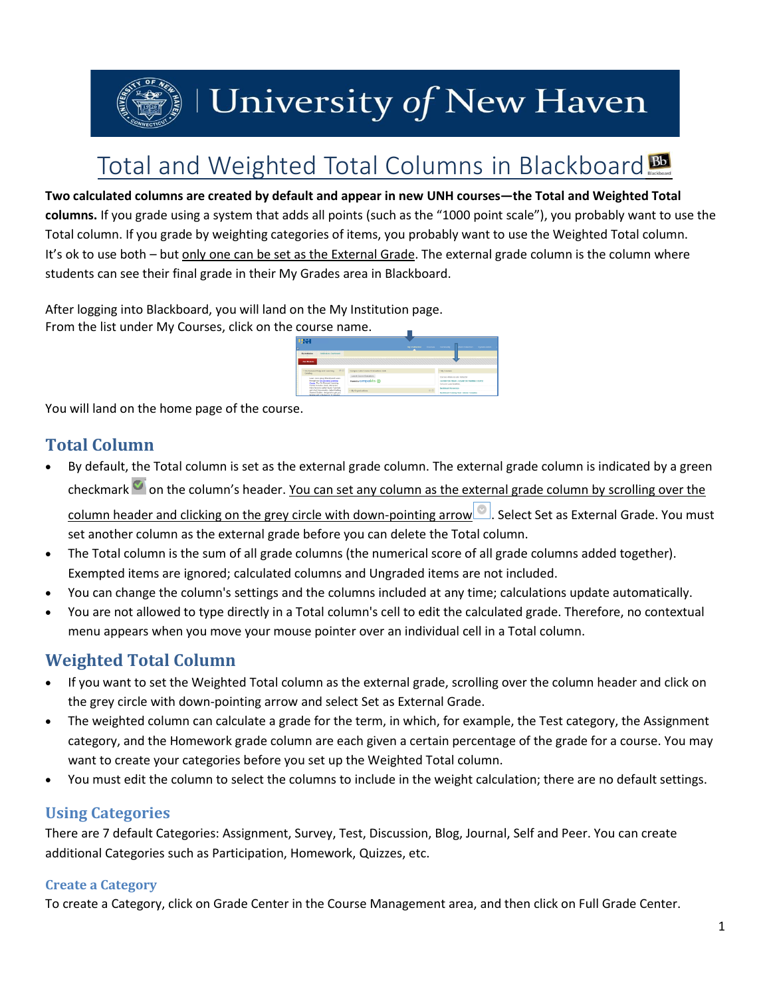

# | University of New Haven

# Total and Weighted Total Columns in Blackboard

**Two calculated columns are created by default and appear in new UNH courses—the Total and Weighted Total columns.** If you grade using a system that adds all points (such as the "1000 point scale"), you probably want to use the Total column. If you grade by weighting categories of items, you probably want to use the Weighted Total column. It's ok to use both – but only one can be set as the External Grade. The external grade column is the column where students can see their final grade in their My Grades area in Blackboard.

After logging into Blackboard, you will land on the My Institution page. From the list under My Courses, click on the course name.



You will land on the home page of the course.

# **Total Column**

 By default, the Total column is set as the external grade column. The external grade column is indicated by a green checkmark on the column's header. You can set any column as the external grade column by scrolling over the

column header and clicking on the grey circle with down-pointing arrow . Select Set as External Grade. You must set another column as the external grade before you can delete the Total column.

- The Total column is the sum of all grade columns (the numerical score of all grade columns added together). Exempted items are ignored; calculated columns and Ungraded items are not included.
- You can change the column's settings and the columns included at any time; calculations update automatically.
- You are not allowed to type directly in a Total column's cell to edit the calculated grade. Therefore, no contextual menu appears when you move your mouse pointer over an individual cell in a Total column.

# **Weighted Total Column**

- If you want to set the Weighted Total column as the external grade, scrolling over the column header and click on the grey circle with down-pointing arrow and select Set as External Grade.
- The weighted column can calculate a grade for the term, in which, for example, the Test category, the Assignment category, and the Homework grade column are each given a certain percentage of the grade for a course. You may want to create your categories before you set up the Weighted Total column.
- You must edit the column to select the columns to include in the weight calculation; there are no default settings.

### **Using Categories**

There are 7 default Categories: Assignment, Survey, Test, Discussion, Blog, Journal, Self and Peer. You can create additional Categories such as Participation, Homework, Quizzes, etc.

#### **Create a Category**

To create a Category, click on Grade Center in the Course Management area, and then click on Full Grade Center.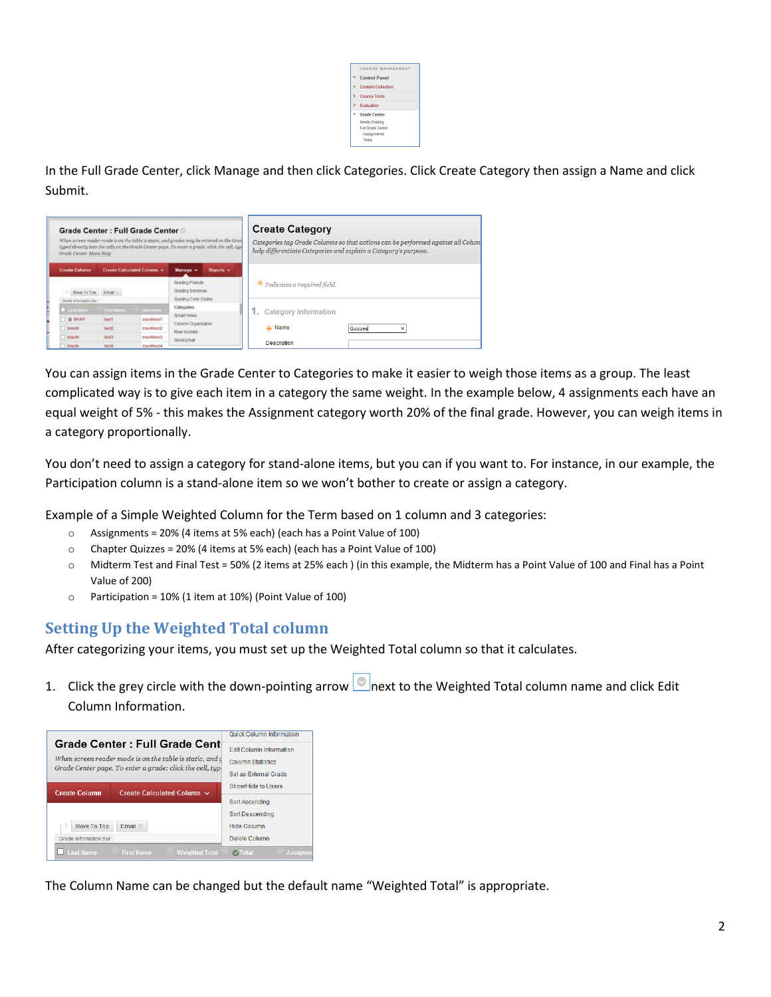| COURSE MANAGEMENT       |   |
|-------------------------|---|
| <b>Control Panel</b>    |   |
| Content Collection      | × |
| <b>Course Tools</b>     |   |
| <b>Evaluation</b>       |   |
| <b>Grade Center</b>     | x |
| <b>Needs Grading</b>    |   |
| <b>Ful Grade Center</b> |   |
| <b>Assignments</b>      |   |
| Tests                   |   |
|                         |   |

In the Full Grade Center, click Manage and then click Categories. Click Create Category then assign a Name and click Submit.

| Grade Center : Full Grade Center<br>When screen reader mode is on the table is static, and grades may be entered on the Grad<br>typed directly into the cells on the Grade Center page. To enter a grade: click the cell, type<br>Grade Center, More Help |            |                            |                                                           |           | <b>Create Category</b><br>Categories tag Grade Columns so that actions can be performed against all Colum<br>help differentiate Categories and explain a Category's purpose. |  |  |
|-----------------------------------------------------------------------------------------------------------------------------------------------------------------------------------------------------------------------------------------------------------|------------|----------------------------|-----------------------------------------------------------|-----------|------------------------------------------------------------------------------------------------------------------------------------------------------------------------------|--|--|
| <b>Create Column</b>                                                                                                                                                                                                                                      |            | Create Calculated Column ~ | Manage v                                                  | Reports v |                                                                                                                                                                              |  |  |
| Move To Top Email<br>Grade information Bar                                                                                                                                                                                                                |            |                            | Grading Periods<br>Grading Schemas<br>Grading Color Codes |           | $*$ Indicates a required field.                                                                                                                                              |  |  |
| Last Hame                                                                                                                                                                                                                                                 | First Name | Usemamo                    | Categories                                                |           | <b>Category Information</b>                                                                                                                                                  |  |  |
| o bbunh                                                                                                                                                                                                                                                   | test1      | bbunhfest1                 | Smart Views                                               |           |                                                                                                                                                                              |  |  |
| bbunh                                                                                                                                                                                                                                                     | test2      | bbunhtest2                 | Column Organization<br>Row Visibility<br>Send Email       |           | -x- Name<br>Quizzes<br>×                                                                                                                                                     |  |  |
| bbunh                                                                                                                                                                                                                                                     | test3      | bbunhtest3                 |                                                           |           |                                                                                                                                                                              |  |  |
| bbunh                                                                                                                                                                                                                                                     | test4      | bbunhtest4                 |                                                           |           | <b>Description</b>                                                                                                                                                           |  |  |

You can assign items in the Grade Center to Categories to make it easier to weigh those items as a group. The least complicated way is to give each item in a category the same weight. In the example below, 4 assignments each have an equal weight of 5% - this makes the Assignment category worth 20% of the final grade. However, you can weigh items in a category proportionally.

You don't need to assign a category for stand-alone items, but you can if you want to. For instance, in our example, the Participation column is a stand-alone item so we won't bother to create or assign a category.

Example of a Simple Weighted Column for the Term based on 1 column and 3 categories:

- o Assignments = 20% (4 items at 5% each) (each has a Point Value of 100)
- o Chapter Quizzes = 20% (4 items at 5% each) (each has a Point Value of 100)
- o Midterm Test and Final Test = 50% (2 items at 25% each ) (in this example, the Midterm has a Point Value of 100 and Final has a Point Value of 200)
- $\circ$  Participation = 10% (1 item at 10%) (Point Value of 100)

#### **Setting Up the Weighted Total column**

After categorizing your items, you must set up the Weighted Total column so that it calculates.

1. Click the grey circle with the down-pointing arrow  $\Box$  next to the Weighted Total column name and click Edit Column Information.



The Column Name can be changed but the default name "Weighted Total" is appropriate.